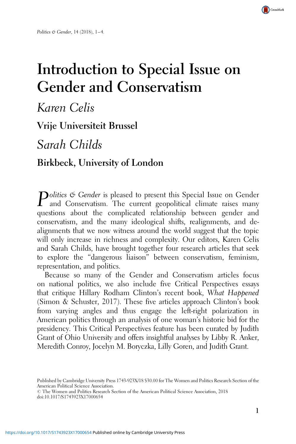## Introduction to Special Issue on Gender and Conservatism

Karen Celis

Vrije Universiteit Brussel

Sarah Childs

## Birkbeck, University of London

Dolitics & Gender is pleased to present this Special Issue on Gender and Conservatism. The current geopolitical climate raises many questions about the complicated relationship between gender and conservatism, and the many ideological shifts, realignments, and dealignments that we now witness around the world suggest that the topic will only increase in richness and complexity. Our editors, Karen Celis and Sarah Childs, have brought together four research articles that seek to explore the "dangerous liaison" between conservatism, feminism, representation, and politics.

Because so many of the Gender and Conservatism articles focus on national politics, we also include five Critical Perspectives essays that critique Hillary Rodham Clinton's recent book, What Happened (Simon & Schuster, 2017). These five articles approach Clinton's book from varying angles and thus engage the left-right polarization in American politics through an analysis of one woman's historic bid for the presidency. This Critical Perspectives feature has been curated by Judith Grant of Ohio University and offers insightful analyses by Libby R. Anker, Meredith Conroy, Jocelyn M. Boryczka, Lilly Goren, and Judith Grant.

Published by Cambridge University Press 1743-923X/18 \$30.00 for The Women and Politics Research Section of the American Political Science Association.

<sup>©</sup> The Women and Politics Research Section of the American Political Science Association, 2018 doi:10.1017/S1743923X17000654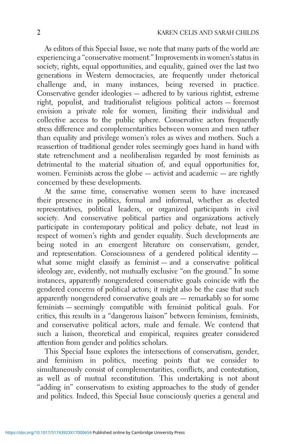As editors of this Special Issue, we note that many parts of the world are experiencing a "conservative moment." Improvements in women's status in society, rights, equal opportunities, and equality, gained over the last two generations in Western democracies, are frequently under rhetorical challenge and, in many instances, being reversed in practice. Conservative gender ideologies — adhered to by various rightist, extreme right, populist, and traditionalist religious political actors — foremost envision a private role for women, limiting their individual and collective access to the public sphere. Conservative actors frequently stress difference and complementarities between women and men rather than equality and privilege women's roles as wives and mothers. Such a reassertion of traditional gender roles seemingly goes hand in hand with state retrenchment and a neoliberalism regarded by most feminists as detrimental to the material situation of, and equal opportunities for, women. Feminists across the globe — activist and academic — are rightly concerned by these developments.

At the same time, conservative women seem to have increased their presence in politics, formal and informal, whether as elected representatives, political leaders, or organized participants in civil society. And conservative political parties and organizations actively participate in contemporary political and policy debate, not least in respect of women's rights and gender equality. Such developments are being noted in an emergent literature on conservatism, gender, and representation. Consciousness of a gendered political identity what some might classify as feminist — and a conservative political ideology are, evidently, not mutually exclusive "on the ground." In some instances, apparently nongendered conservative goals coincide with the gendered concerns of political actors; it might also be the case that such apparently nongendered conservative goals are — remarkably so for some feminists — seemingly compatible with feminist political goals. For critics, this results in a "dangerous liaison" between feminism, feminists, and conservative political actors, male and female. We contend that such a liaison, theoretical and empirical, requires greater considered attention from gender and politics scholars.

This Special Issue explores the intersections of conservatism, gender, and feminism in politics, meeting points that we consider to simultaneously consist of complementarities, conflicts, and contestation, as well as of mutual reconstitution. This undertaking is not about "adding in" conservatism to existing approaches to the study of gender and politics. Indeed, this Special Issue consciously queries a general and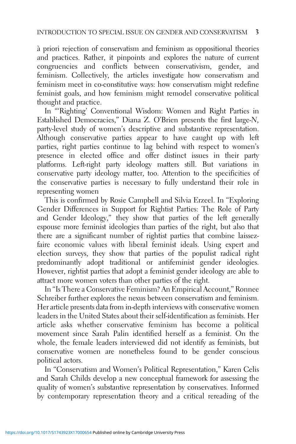a` priori rejection of conservatism and feminism as oppositional theories and practices. Rather, it pinpoints and explores the nature of current congruencies and conflicts between conservativism, gender, and feminism. Collectively, the articles investigate how conservatism and feminism meet in co-constitutive ways: how conservatism might redefine feminist goals, and how feminism might remodel conservative political thought and practice.

In "'Righting' Conventional Wisdom: Women and Right Parties in Established Democracies," Diana Z. O'Brien presents the first large-N, party-level study of women's descriptive and substantive representation. Although conservative parties appear to have caught up with left parties, right parties continue to lag behind with respect to women's presence in elected office and offer distinct issues in their party platforms. Left-right party ideology matters still. But variations in conservative party ideology matter, too. Attention to the specificities of the conservative parties is necessary to fully understand their role in representing women

This is confirmed by Rosie Campbell and Silvia Erzeel. In "Exploring Gender Differences in Support for Rightist Parties: The Role of Party and Gender Ideology," they show that parties of the left generally espouse more feminist ideologies than parties of the right, but also that there are a significant number of rightist parties that combine laissezfaire economic values with liberal feminist ideals. Using expert and election surveys, they show that parties of the populist radical right predominantly adopt traditional or antifeminist gender ideologies. However, rightist parties that adopt a feminist gender ideology are able to attract more women voters than other parties of the right.

In "Is There a Conservative Feminism? An Empirical Account," Ronnee Schreiber further explores the nexus between conservatism and feminism. Her article presents data from in-depth interviews with conservative women leaders in the United States about their self-identification as feminists. Her article asks whether conservative feminism has become a political movement since Sarah Palin identified herself as a feminist. On the whole, the female leaders interviewed did not identify as feminists, but conservative women are nonetheless found to be gender conscious political actors.

In "Conservatism and Women's Political Representation," Karen Celis and Sarah Childs develop a new conceptual framework for assessing the quality of women's substantive representation by conservatives. Informed by contemporary representation theory and a critical rereading of the